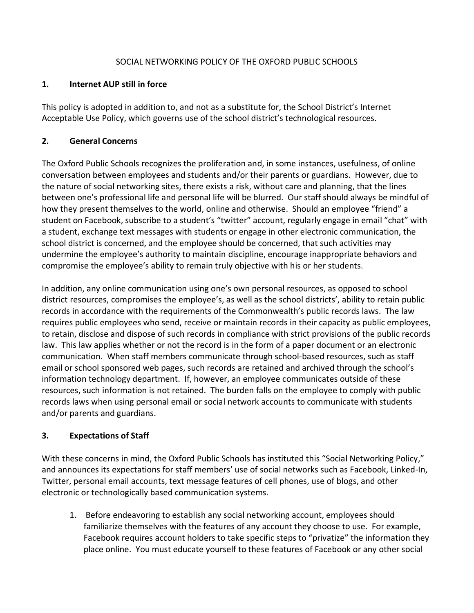## SOCIAL NETWORKING POLICY OF THE OXFORD PUBLIC SCHOOLS

## **1. Internet AUP still in force**

This policy is adopted in addition to, and not as a substitute for, the School District's Internet Acceptable Use Policy, which governs use of the school district's technological resources.

## **2. General Concerns**

The Oxford Public Schools recognizes the proliferation and, in some instances, usefulness, of online conversation between employees and students and/or their parents or guardians. However, due to the nature of social networking sites, there exists a risk, without care and planning, that the lines between one's professional life and personal life will be blurred. Our staff should always be mindful of how they present themselves to the world, online and otherwise. Should an employee "friend" a student on Facebook, subscribe to a student's "twitter" account, regularly engage in email "chat" with a student, exchange text messages with students or engage in other electronic communication, the school district is concerned, and the employee should be concerned, that such activities may undermine the employee's authority to maintain discipline, encourage inappropriate behaviors and compromise the employee's ability to remain truly objective with his or her students.

In addition, any online communication using one's own personal resources, as opposed to school district resources, compromises the employee's, as well as the school districts', ability to retain public records in accordance with the requirements of the Commonwealth's public records laws. The law requires public employees who send, receive or maintain records in their capacity as public employees, to retain, disclose and dispose of such records in compliance with strict provisions of the public records law. This law applies whether or not the record is in the form of a paper document or an electronic communication. When staff members communicate through school-based resources, such as staff email or school sponsored web pages, such records are retained and archived through the school's information technology department. If, however, an employee communicates outside of these resources, such information is not retained. The burden falls on the employee to comply with public records laws when using personal email or social network accounts to communicate with students and/or parents and guardians.

## **3. Expectations of Staff**

With these concerns in mind, the Oxford Public Schools has instituted this "Social Networking Policy," and announces its expectations for staff members' use of social networks such as Facebook, Linked-In, Twitter, personal email accounts, text message features of cell phones, use of blogs, and other electronic or technologically based communication systems.

1. Before endeavoring to establish any social networking account, employees should familiarize themselves with the features of any account they choose to use. For example, Facebook requires account holders to take specific steps to "privatize" the information they place online. You must educate yourself to these features of Facebook or any other social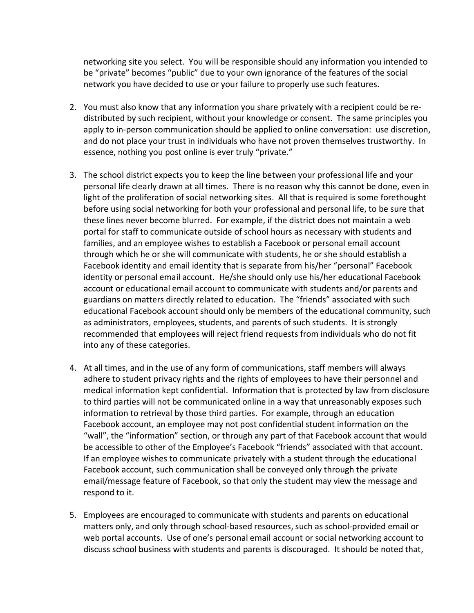networking site you select. You will be responsible should any information you intended to be "private" becomes "public" due to your own ignorance of the features of the social network you have decided to use or your failure to properly use such features.

- 2. You must also know that any information you share privately with a recipient could be redistributed by such recipient, without your knowledge or consent. The same principles you apply to in-person communication should be applied to online conversation: use discretion, and do not place your trust in individuals who have not proven themselves trustworthy. In essence, nothing you post online is ever truly "private."
- 3. The school district expects you to keep the line between your professional life and your personal life clearly drawn at all times. There is no reason why this cannot be done, even in light of the proliferation of social networking sites. All that is required is some forethought before using social networking for both your professional and personal life, to be sure that these lines never become blurred. For example, if the district does not maintain a web portal for staff to communicate outside of school hours as necessary with students and families, and an employee wishes to establish a Facebook or personal email account through which he or she will communicate with students, he or she should establish a Facebook identity and email identity that is separate from his/her "personal" Facebook identity or personal email account. He/she should only use his/her educational Facebook account or educational email account to communicate with students and/or parents and guardians on matters directly related to education. The "friends" associated with such educational Facebook account should only be members of the educational community, such as administrators, employees, students, and parents of such students. It is strongly recommended that employees will reject friend requests from individuals who do not fit into any of these categories.
- 4. At all times, and in the use of any form of communications, staff members will always adhere to student privacy rights and the rights of employees to have their personnel and medical information kept confidential. Information that is protected by law from disclosure to third parties will not be communicated online in a way that unreasonably exposes such information to retrieval by those third parties. For example, through an education Facebook account, an employee may not post confidential student information on the "wall", the "information" section, or through any part of that Facebook account that would be accessible to other of the Employee's Facebook "friends" associated with that account. If an employee wishes to communicate privately with a student through the educational Facebook account, such communication shall be conveyed only through the private email/message feature of Facebook, so that only the student may view the message and respond to it.
- 5. Employees are encouraged to communicate with students and parents on educational matters only, and only through school-based resources, such as school-provided email or web portal accounts. Use of one's personal email account or social networking account to discuss school business with students and parents is discouraged. It should be noted that,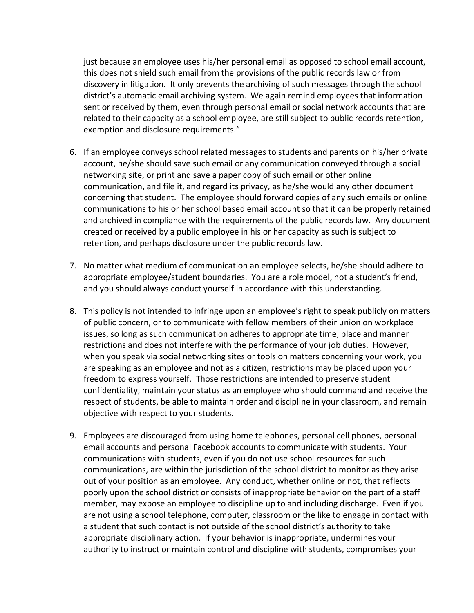just because an employee uses his/her personal email as opposed to school email account, this does not shield such email from the provisions of the public records law or from discovery in litigation. It only prevents the archiving of such messages through the school district's automatic email archiving system. We again remind employees that information sent or received by them, even through personal email or social network accounts that are related to their capacity as a school employee, are still subject to public records retention, exemption and disclosure requirements."

- 6. If an employee conveys school related messages to students and parents on his/her private account, he/she should save such email or any communication conveyed through a social networking site, or print and save a paper copy of such email or other online communication, and file it, and regard its privacy, as he/she would any other document concerning that student. The employee should forward copies of any such emails or online communications to his or her school based email account so that it can be properly retained and archived in compliance with the requirements of the public records law. Any document created or received by a public employee in his or her capacity as such is subject to retention, and perhaps disclosure under the public records law.
- 7. No matter what medium of communication an employee selects, he/she should adhere to appropriate employee/student boundaries. You are a role model, not a student's friend, and you should always conduct yourself in accordance with this understanding.
- 8. This policy is not intended to infringe upon an employee's right to speak publicly on matters of public concern, or to communicate with fellow members of their union on workplace issues, so long as such communication adheres to appropriate time, place and manner restrictions and does not interfere with the performance of your job duties. However, when you speak via social networking sites or tools on matters concerning your work, you are speaking as an employee and not as a citizen, restrictions may be placed upon your freedom to express yourself. Those restrictions are intended to preserve student confidentiality, maintain your status as an employee who should command and receive the respect of students, be able to maintain order and discipline in your classroom, and remain objective with respect to your students.
- 9. Employees are discouraged from using home telephones, personal cell phones, personal email accounts and personal Facebook accounts to communicate with students. Your communications with students, even if you do not use school resources for such communications, are within the jurisdiction of the school district to monitor as they arise out of your position as an employee. Any conduct, whether online or not, that reflects poorly upon the school district or consists of inappropriate behavior on the part of a staff member, may expose an employee to discipline up to and including discharge. Even if you are not using a school telephone, computer, classroom or the like to engage in contact with a student that such contact is not outside of the school district's authority to take appropriate disciplinary action. If your behavior is inappropriate, undermines your authority to instruct or maintain control and discipline with students, compromises your